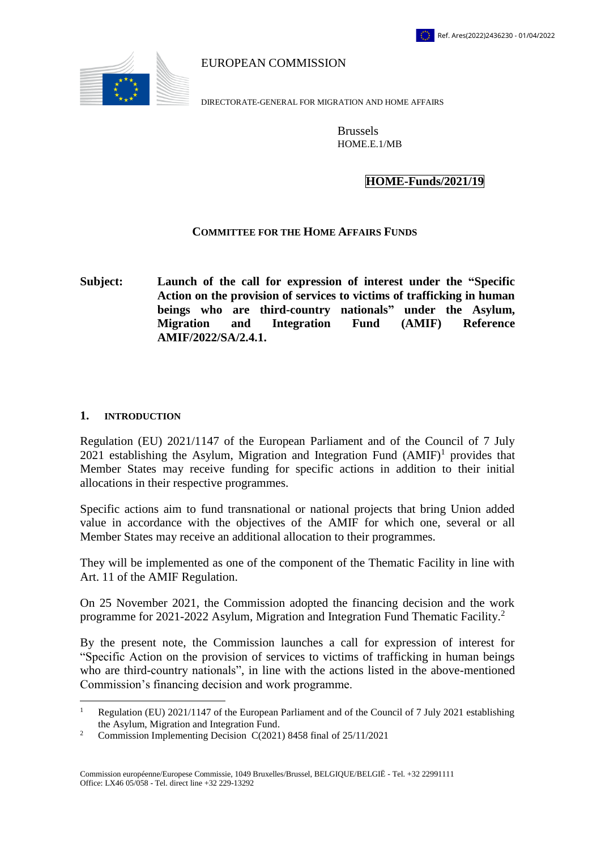

EUROPEAN COMMISSION

DIRECTORATE-GENERAL FOR MIGRATION AND HOME AFFAIRS

Brussels HOME.E.1/MB

## **HOME-Funds/2021/19**

## **COMMITTEE FOR THE HOME AFFAIRS FUNDS**

**Subject: Launch of the call for expression of interest under the "Specific Action on the provision of services to victims of trafficking in human beings who are third-country nationals" under the Asylum, Migration and Integration Fund (AMIF) Reference AMIF/2022/SA/2.4.1.**

### **1. INTRODUCTION**

 $\overline{a}$ 

Regulation (EU) 2021/1147 of the European Parliament and of the Council of 7 July 2021 establishing the Asylum, Migration and Integration Fund  $(AMIF)^1$  provides that Member States may receive funding for specific actions in addition to their initial allocations in their respective programmes.

Specific actions aim to fund transnational or national projects that bring Union added value in accordance with the objectives of the AMIF for which one, several or all Member States may receive an additional allocation to their programmes.

They will be implemented as one of the component of the Thematic Facility in line with Art. 11 of the AMIF Regulation.

On 25 November 2021, the Commission adopted the financing decision and the work programme for 2021-2022 Asylum, Migration and Integration Fund Thematic Facility.<sup>2</sup>

By the present note, the Commission launches a call for expression of interest for "Specific Action on the provision of services to victims of trafficking in human beings who are third-country nationals", in line with the actions listed in the above-mentioned Commission's financing decision and work programme.

<sup>&</sup>lt;sup>1</sup> Regulation (EU) 2021/1147 of the European Parliament and of the Council of 7 July 2021 establishing the Asylum, Migration and Integration Fund.

<sup>&</sup>lt;sup>2</sup> Commission Implementing Decision C(2021) 8458 final of  $25/11/2021$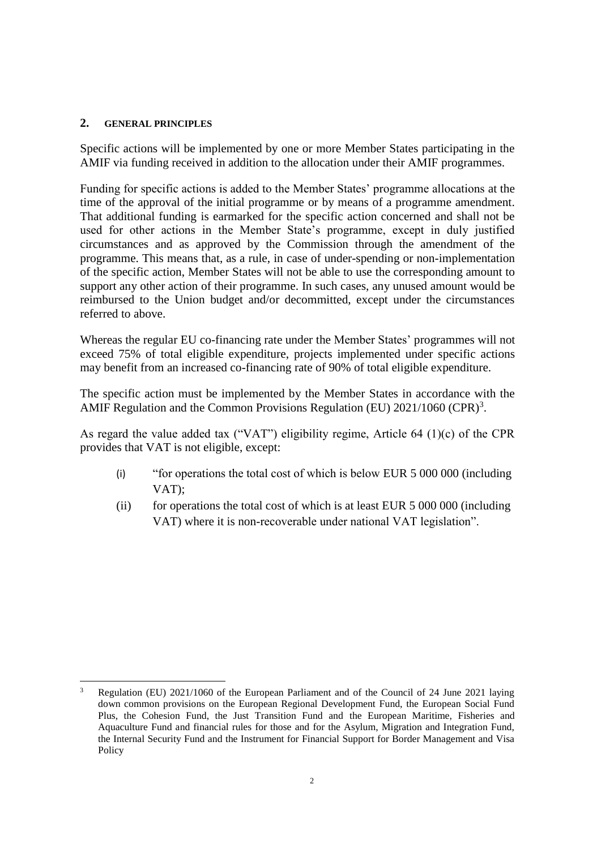### **2. GENERAL PRINCIPLES**

Specific actions will be implemented by one or more Member States participating in the AMIF via funding received in addition to the allocation under their AMIF programmes.

Funding for specific actions is added to the Member States' programme allocations at the time of the approval of the initial programme or by means of a programme amendment. That additional funding is earmarked for the specific action concerned and shall not be used for other actions in the Member State's programme, except in duly justified circumstances and as approved by the Commission through the amendment of the programme. This means that, as a rule, in case of under-spending or non-implementation of the specific action, Member States will not be able to use the corresponding amount to support any other action of their programme. In such cases, any unused amount would be reimbursed to the Union budget and/or decommitted, except under the circumstances referred to above.

Whereas the regular EU co-financing rate under the Member States' programmes will not exceed 75% of total eligible expenditure, projects implemented under specific actions may benefit from an increased co-financing rate of 90% of total eligible expenditure.

The specific action must be implemented by the Member States in accordance with the AMIF Regulation and the Common Provisions Regulation (EU)  $2021/1060$  (CPR)<sup>3</sup>.

As regard the value added tax ("VAT") eligibility regime, Article 64 (1)(c) of the CPR provides that VAT is not eligible, except:

- (i) "for operations the total cost of which is below EUR 5 000 000 (including VAT);
- (ii) for operations the total cost of which is at least EUR 5 000 000 (including VAT) where it is non-recoverable under national VAT legislation".

 $\overline{a}$ <sup>3</sup> Regulation (EU) 2021/1060 of the European Parliament and of the Council of 24 June 2021 laying down common provisions on the European Regional Development Fund, the European Social Fund Plus, the Cohesion Fund, the Just Transition Fund and the European Maritime, Fisheries and Aquaculture Fund and financial rules for those and for the Asylum, Migration and Integration Fund, the Internal Security Fund and the Instrument for Financial Support for Border Management and Visa **Policy**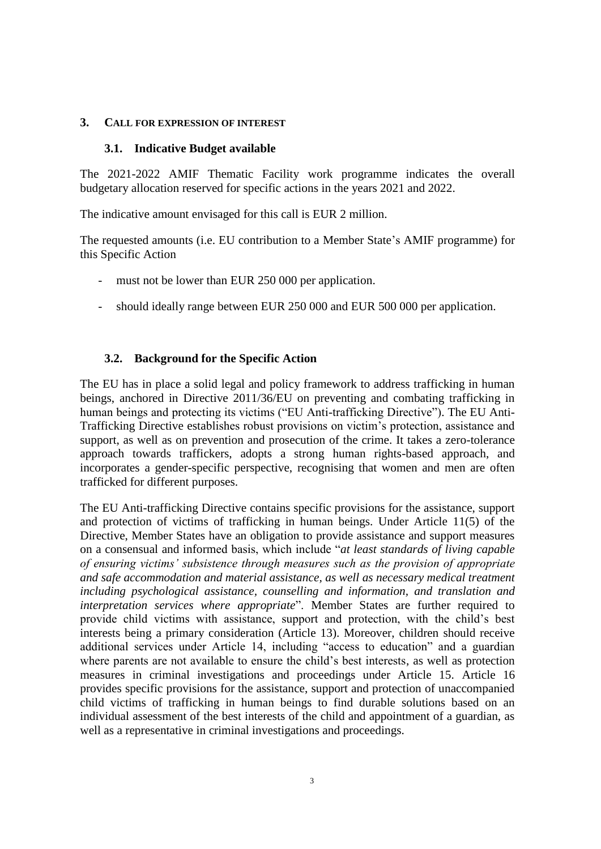### **3. CALL FOR EXPRESSION OF INTEREST**

### **3.1. Indicative Budget available**

The 2021-2022 AMIF Thematic Facility work programme indicates the overall budgetary allocation reserved for specific actions in the years 2021 and 2022.

The indicative amount envisaged for this call is EUR 2 million.

The requested amounts (i.e. EU contribution to a Member State's AMIF programme) for this Specific Action

- must not be lower than EUR 250 000 per application.
- should ideally range between EUR 250 000 and EUR 500 000 per application.

# **3.2. Background for the Specific Action**

The EU has in place a solid legal and policy framework to address trafficking in human beings, anchored in Directive 2011/36/EU on preventing and combating trafficking in human beings and protecting its victims ("EU Anti-trafficking Directive"). The EU Anti-Trafficking Directive establishes robust provisions on victim's protection, assistance and support, as well as on prevention and prosecution of the crime. It takes a zero-tolerance approach towards traffickers, adopts a strong human rights-based approach, and incorporates a gender-specific perspective, recognising that women and men are often trafficked for different purposes.

The EU Anti-trafficking Directive contains specific provisions for the assistance, support and protection of victims of trafficking in human beings. Under Article 11(5) of the Directive, Member States have an obligation to provide assistance and support measures on a consensual and informed basis, which include "*at least standards of living capable of ensuring victims' subsistence through measures such as the provision of appropriate and safe accommodation and material assistance, as well as necessary medical treatment including psychological assistance, counselling and information, and translation and interpretation services where appropriate*". Member States are further required to provide child victims with assistance, support and protection, with the child's best interests being a primary consideration (Article 13). Moreover, children should receive additional services under Article 14, including "access to education" and a guardian where parents are not available to ensure the child's best interests, as well as protection measures in criminal investigations and proceedings under Article 15. Article 16 provides specific provisions for the assistance, support and protection of unaccompanied child victims of trafficking in human beings to find durable solutions based on an individual assessment of the best interests of the child and appointment of a guardian, as well as a representative in criminal investigations and proceedings.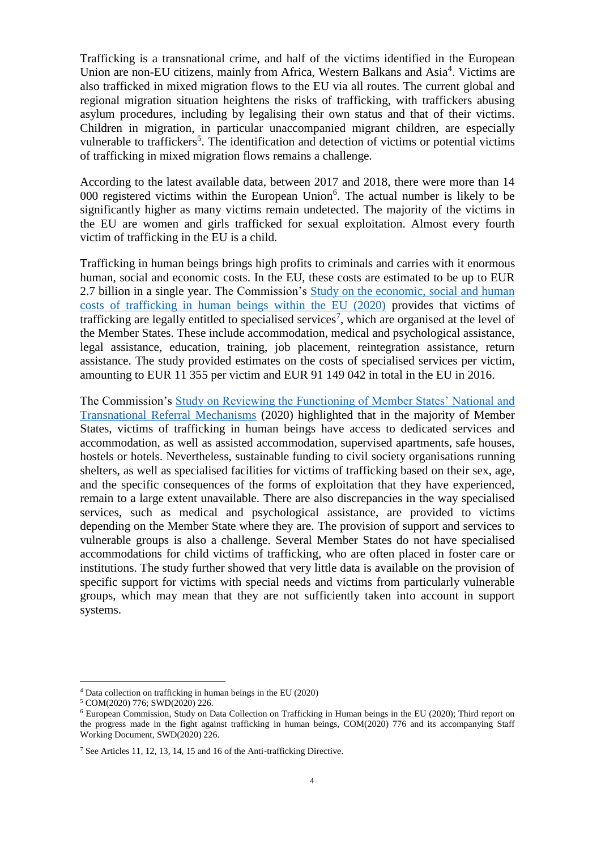Trafficking is a transnational crime, and half of the victims identified in the European Union are non-EU citizens, mainly from Africa, Western Balkans and Asia<sup>4</sup>. Victims are also trafficked in mixed migration flows to the EU via all routes. The current global and regional migration situation heightens the risks of trafficking, with traffickers abusing asylum procedures, including by legalising their own status and that of their victims. Children in migration, in particular unaccompanied migrant children, are especially vulnerable to traffickers<sup>5</sup>. The identification and detection of victims or potential victims of trafficking in mixed migration flows remains a challenge.

According to the latest available data, between 2017 and 2018, there were more than 14 000 registered victims within the European Union $6$ . The actual number is likely to be significantly higher as many victims remain undetected. The majority of the victims in the EU are women and girls trafficked for sexual exploitation. Almost every fourth victim of trafficking in the EU is a child.

Trafficking in human beings brings high profits to criminals and carries with it enormous human, social and economic costs. In the EU, these costs are estimated to be up to EUR 2.7 billion in a single year. The Commission's Study on the economic, social and human [costs of trafficking in human beings within the EU \(2020\)](https://ec.europa.eu/anti-trafficking/system/files/2020-10/study_on_the_economic_social_and_human_costs_of_trafficking_in_human_beings_within_the_eu.pdf) provides that victims of trafficking are legally entitled to specialised services<sup>7</sup>, which are organised at the level of the Member States. These include accommodation, medical and psychological assistance, legal assistance, education, training, job placement, reintegration assistance, return assistance. The study provided estimates on the costs of specialised services per victim, amounting to EUR 11 355 per victim and EUR 91 149 042 in total in the EU in 2016.

The Commission's [Study on Reviewing the Functioning of Member States' National and](https://ec.europa.eu/anti-trafficking/system/files/2020-10/study_on_reviewing_the_functioning_of_member_states_national_and_transnational_referral_mechanisms.pdf)  [Transnational Referral Mechanisms](https://ec.europa.eu/anti-trafficking/system/files/2020-10/study_on_reviewing_the_functioning_of_member_states_national_and_transnational_referral_mechanisms.pdf) (2020) highlighted that in the majority of Member States, victims of trafficking in human beings have access to dedicated services and accommodation, as well as assisted accommodation, supervised apartments, safe houses, hostels or hotels. Nevertheless, sustainable funding to civil society organisations running shelters, as well as specialised facilities for victims of trafficking based on their sex, age, and the specific consequences of the forms of exploitation that they have experienced, remain to a large extent unavailable. There are also discrepancies in the way specialised services, such as medical and psychological assistance, are provided to victims depending on the Member State where they are. The provision of support and services to vulnerable groups is also a challenge. Several Member States do not have specialised accommodations for child victims of trafficking, who are often placed in foster care or institutions. The study further showed that very little data is available on the provision of specific support for victims with special needs and victims from particularly vulnerable groups, which may mean that they are not sufficiently taken into account in support systems.

 $\overline{a}$ 

<sup>4</sup> Data collection on trafficking in human beings in the EU (2020)

<sup>5</sup> COM(2020) 776; SWD(2020) 226.

 $6$  European Commission, Study on Data Collection on Trafficking in Human beings in the EU (2020); Third report on the progress made in the fight against trafficking in human beings, COM(2020) 776 and its accompanying Staff Working Document, SWD(2020) 226.

<sup>7</sup> See Articles 11, 12, 13, 14, 15 and 16 of the Anti-trafficking Directive.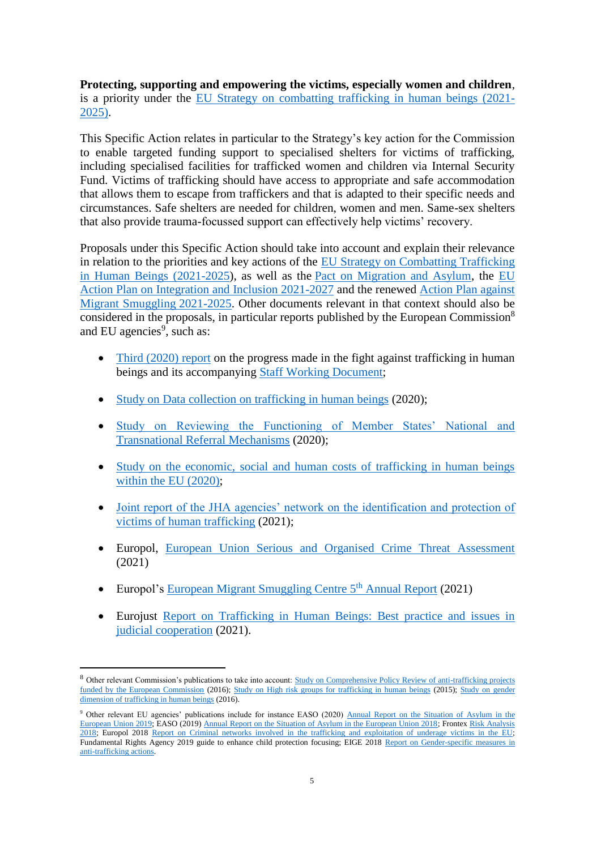**Protecting, supporting and empowering the victims, especially women and children**, is a priority under the [EU Strategy on combatting trafficking in human beings \(2021-](https://ec.europa.eu/home-affairs/system/files_en?file=2021-04/14042021_eu_strategy_on_combatting_trafficking_in_human_beings_2021-2025_com-2021-171-1_en.pdf) [2025\).](https://ec.europa.eu/home-affairs/system/files_en?file=2021-04/14042021_eu_strategy_on_combatting_trafficking_in_human_beings_2021-2025_com-2021-171-1_en.pdf)

This Specific Action relates in particular to the Strategy's key action for the Commission to enable targeted funding support to specialised shelters for victims of trafficking, including specialised facilities for trafficked women and children via Internal Security Fund. Victims of trafficking should have access to appropriate and safe accommodation that allows them to escape from traffickers and that is adapted to their specific needs and circumstances. Safe shelters are needed for children, women and men. Same-sex shelters that also provide trauma-focussed support can effectively help victims' recovery.

Proposals under this Specific Action should take into account and explain their relevance in relation to the priorities and key actions of the [EU Strategy on Combatting Trafficking](https://ec.europa.eu/home-affairs/system/files_en?file=2021-04/14042021_eu_strategy_on_combatting_trafficking_in_human_beings_2021-2025_com-2021-171-1_en.pdf)  [in Human Beings \(2021-2025\)](https://ec.europa.eu/home-affairs/system/files_en?file=2021-04/14042021_eu_strategy_on_combatting_trafficking_in_human_beings_2021-2025_com-2021-171-1_en.pdf), as well as the [Pact on Migration and Asylum,](https://ec.europa.eu/info/strategy/priorities-2019-2024/promoting-our-european-way-life/new-pact-migration-and-asylum_en) the [EU](https://ec.europa.eu/home-affairs/system/files/2020-11/action_plan_on_integration_and_inclusion_2021-2027.pdf)  [Action Plan on Integration and Inclusion 2021-2027](https://ec.europa.eu/home-affairs/system/files/2020-11/action_plan_on_integration_and_inclusion_2021-2027.pdf) and the renewed [Action Plan against](https://ec.europa.eu/home-affairs/renewed-eu-action-plan-against-migrant-smuggling-2021-2025-com-2021-591_en)  [Migrant Smuggling](https://ec.europa.eu/home-affairs/renewed-eu-action-plan-against-migrant-smuggling-2021-2025-com-2021-591_en) 2021-2025. Other documents relevant in that context should also be considered in the proposals, in particular reports published by the European Commission<sup>8</sup> and EU agencies<sup>9</sup>, such as:

- [Third \(2020\) report](https://eur-lex.europa.eu/legal-content/EN/TXT/?uri=CELEX%3A52020DC0661) on the progress made in the fight against trafficking in human beings and its accompanying [Staff Working Document;](https://eur-lex.europa.eu/legal-content/EN/TXT/?uri=CELEX%3A52020SC0226&qid=1638538766246)
- [Study on Data collection on trafficking in human beings](https://ec.europa.eu/anti-trafficking/third-report-progress-made-fight-against-trafficking-human-beings_en) (2020);
- [Study on Reviewing the Functioning of Member States' National and](https://ec.europa.eu/anti-trafficking/system/files/2020-10/study_on_reviewing_the_functioning_of_member_states_national_and_transnational_referral_mechanisms.pdf)  [Transnational Referral Mechanisms](https://ec.europa.eu/anti-trafficking/system/files/2020-10/study_on_reviewing_the_functioning_of_member_states_national_and_transnational_referral_mechanisms.pdf) (2020);
- Study on the economic, social and human costs of trafficking in human beings [within the EU \(2020\);](https://ec.europa.eu/anti-trafficking/system/files/2020-10/study_on_the_economic_social_and_human_costs_of_trafficking_in_human_beings_within_the_eu.pdf)
- Joint report of the JHA agencies' network on the identification and protection of [victims of human trafficking](https://www.eurojust.europa.eu/joint-report-jha-agencies-network-identification-and-protection-victims-human-trafficking) (2021);
- Europol, [European Union Serious and Organised Crime Threat Assessment](https://www.europol.europa.eu/activities-services/main-reports/european-union-serious-and-organised-crime-threat-assessment) (2021)
- Europol's European Migrant Smuggling Centre  $5<sup>th</sup>$  Annual Report (2021)

 $\overline{a}$ 

 Eurojust [Report on Trafficking in Human Beings: Best practice and issues in](https://www.eurojust.europa.eu/eurojust-report-trafficking-human-beings)  [judicial cooperation](https://www.eurojust.europa.eu/eurojust-report-trafficking-human-beings) (2021).

<sup>8</sup> Other relevant Commission's publications to take into account: Study on Comprehensive Policy Review of anti-trafficking projects [funded by the European Commission](https://ec.europa.eu/antitrafficking/sites/antitrafficking/files/study_on_comprehensive_policy_review.pdf) (2016); [Study on High risk groups for trafficking in human beings](https://ec.europa.eu/anti-trafficking/eu-policy/study-high-riskgroups-trafficking-human-beings_en;) (2015); [Study on gender](https://ec.europa.eu/anti-trafficking/eu-policy/study-gender-dimension-trafficking-human-beings_en;)  [dimension of trafficking in human beings](https://ec.europa.eu/anti-trafficking/eu-policy/study-gender-dimension-trafficking-human-beings_en;) (2016).

<sup>&</sup>lt;sup>9</sup> Other relevant EU agencies' publications include for instance EASO (2020) Annual Report on the Situation of Asylum in the [European Union 2019;](https://easo.europa.eu/sites/default/files/EASO-Asylum-Report-2020.pdf) EASO (2019) [Annual Report on the Situation of Asylum in the European Union 2018;](https://www.easo.europa.eu/easo-annual-report-2018) Fronte[x Risk Analysis](https://frontex.europa.eu/assets/Publications/Risk_Analysis/Risk_Analysis/Risk_Analysis_for_2018.pdf)  [2018;](https://frontex.europa.eu/assets/Publications/Risk_Analysis/Risk_Analysis/Risk_Analysis_for_2018.pdf) Europol 2018 [Report on Criminal networks involved in the trafficking and exploitation of underage victims in the EU;](https://www.europol.europa.eu/publications-documents/criminal-networks-involved-in-trafficking-and-exploitation-of-underage-victims-in-eu) Fundamental Rights Agency 2019 guide to enhance child protection focusing; EIGE 2018 Report on Gender-specific measures in [anti-trafficking actions.](https://eige.europa.eu/publications/gender-specific-measures-anti-trafficking-actions-report)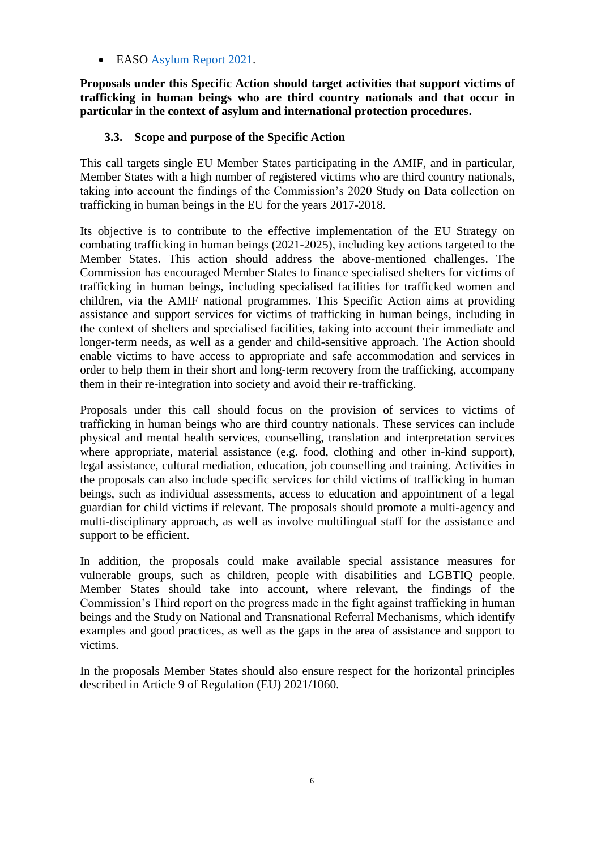# • EASO [Asylum Report 2021.](https://www.easo.europa.eu/sites/default/files/EASO-Asylum-Report-2021.pdf)

**Proposals under this Specific Action should target activities that support victims of trafficking in human beings who are third country nationals and that occur in particular in the context of asylum and international protection procedures.**

# **3.3. Scope and purpose of the Specific Action**

This call targets single EU Member States participating in the AMIF, and in particular, Member States with a high number of registered victims who are third country nationals, taking into account the findings of the Commission's 2020 Study on Data collection on trafficking in human beings in the EU for the years 2017-2018.

Its objective is to contribute to the effective implementation of the EU Strategy on combating trafficking in human beings (2021-2025), including key actions targeted to the Member States. This action should address the above-mentioned challenges. The Commission has encouraged Member States to finance specialised shelters for victims of trafficking in human beings, including specialised facilities for trafficked women and children, via the AMIF national programmes. This Specific Action aims at providing assistance and support services for victims of trafficking in human beings, including in the context of shelters and specialised facilities, taking into account their immediate and longer-term needs, as well as a gender and child-sensitive approach. The Action should enable victims to have access to appropriate and safe accommodation and services in order to help them in their short and long-term recovery from the trafficking, accompany them in their re-integration into society and avoid their re-trafficking.

Proposals under this call should focus on the provision of services to victims of trafficking in human beings who are third country nationals. These services can include physical and mental health services, counselling, translation and interpretation services where appropriate, material assistance (e.g. food, clothing and other in-kind support), legal assistance, cultural mediation, education, job counselling and training. Activities in the proposals can also include specific services for child victims of trafficking in human beings, such as individual assessments, access to education and appointment of a legal guardian for child victims if relevant. The proposals should promote a multi-agency and multi-disciplinary approach, as well as involve multilingual staff for the assistance and support to be efficient.

In addition, the proposals could make available special assistance measures for vulnerable groups, such as children, people with disabilities and LGBTIQ people. Member States should take into account, where relevant, the findings of the Commission's Third report on the progress made in the fight against trafficking in human beings and the Study on National and Transnational Referral Mechanisms, which identify examples and good practices, as well as the gaps in the area of assistance and support to victims.

In the proposals Member States should also ensure respect for the horizontal principles described in Article 9 of Regulation (EU) 2021/1060.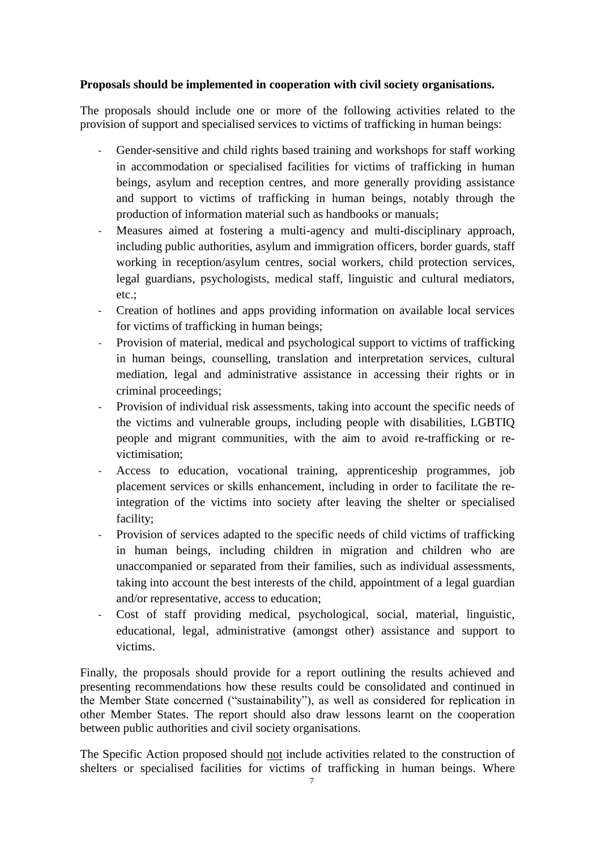## **Proposals should be implemented in cooperation with civil society organisations.**

The proposals should include one or more of the following activities related to the provision of support and specialised services to victims of trafficking in human beings:

- Gender-sensitive and child rights based training and workshops for staff working in accommodation or specialised facilities for victims of trafficking in human beings, asylum and reception centres, and more generally providing assistance and support to victims of trafficking in human beings, notably through the production of information material such as handbooks or manuals;
- Measures aimed at fostering a multi-agency and multi-disciplinary approach, including public authorities, asylum and immigration officers, border guards, staff working in reception/asylum centres, social workers, child protection services, legal guardians, psychologists, medical staff, linguistic and cultural mediators, etc.;
- Creation of hotlines and apps providing information on available local services for victims of trafficking in human beings;
- Provision of material, medical and psychological support to victims of trafficking in human beings, counselling, translation and interpretation services, cultural mediation, legal and administrative assistance in accessing their rights or in criminal proceedings;
- Provision of individual risk assessments, taking into account the specific needs of the victims and vulnerable groups, including people with disabilities, LGBTIQ people and migrant communities, with the aim to avoid re-trafficking or revictimisation;
- Access to education, vocational training, apprenticeship programmes, job placement services or skills enhancement, including in order to facilitate the reintegration of the victims into society after leaving the shelter or specialised facility;
- Provision of services adapted to the specific needs of child victims of trafficking in human beings, including children in migration and children who are unaccompanied or separated from their families, such as individual assessments, taking into account the best interests of the child, appointment of a legal guardian and/or representative, access to education;
- Cost of staff providing medical, psychological, social, material, linguistic, educational, legal, administrative (amongst other) assistance and support to victims.

Finally, the proposals should provide for a report outlining the results achieved and presenting recommendations how these results could be consolidated and continued in the Member State concerned ("sustainability"), as well as considered for replication in other Member States. The report should also draw lessons learnt on the cooperation between public authorities and civil society organisations.

The Specific Action proposed should not include activities related to the construction of shelters or specialised facilities for victims of trafficking in human beings. Where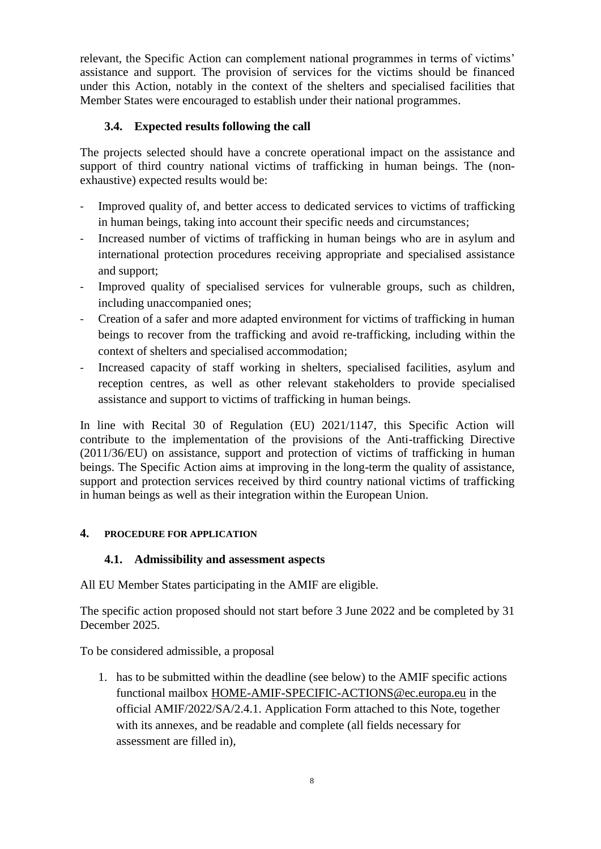relevant, the Specific Action can complement national programmes in terms of victims' assistance and support. The provision of services for the victims should be financed under this Action, notably in the context of the shelters and specialised facilities that Member States were encouraged to establish under their national programmes.

# **3.4. Expected results following the call**

The projects selected should have a concrete operational impact on the assistance and support of third country national victims of trafficking in human beings. The (nonexhaustive) expected results would be:

- Improved quality of, and better access to dedicated services to victims of trafficking in human beings, taking into account their specific needs and circumstances;
- Increased number of victims of trafficking in human beings who are in asylum and international protection procedures receiving appropriate and specialised assistance and support;
- Improved quality of specialised services for vulnerable groups, such as children, including unaccompanied ones;
- Creation of a safer and more adapted environment for victims of trafficking in human beings to recover from the trafficking and avoid re-trafficking, including within the context of shelters and specialised accommodation;
- Increased capacity of staff working in shelters, specialised facilities, asylum and reception centres, as well as other relevant stakeholders to provide specialised assistance and support to victims of trafficking in human beings.

In line with Recital 30 of Regulation (EU) 2021/1147, this Specific Action will contribute to the implementation of the provisions of the Anti-trafficking Directive (2011/36/EU) on assistance, support and protection of victims of trafficking in human beings. The Specific Action aims at improving in the long-term the quality of assistance, support and protection services received by third country national victims of trafficking in human beings as well as their integration within the European Union.

# **4. PROCEDURE FOR APPLICATION**

# **4.1. Admissibility and assessment aspects**

All EU Member States participating in the AMIF are eligible.

The specific action proposed should not start before 3 June 2022 and be completed by 31 December 2025.

To be considered admissible, a proposal

1. has to be submitted within the deadline (see below) to the AMIF specific actions functional mailbox [HOME-AMIF-SPECIFIC-ACTIONS@ec.europa.eu](mailto:HOME-AMIF-SPECIFIC-ACTIONS@ec.europa.eu) in the official AMIF/2022/SA/2.4.1. Application Form attached to this Note, together with its annexes, and be readable and complete (all fields necessary for assessment are filled in),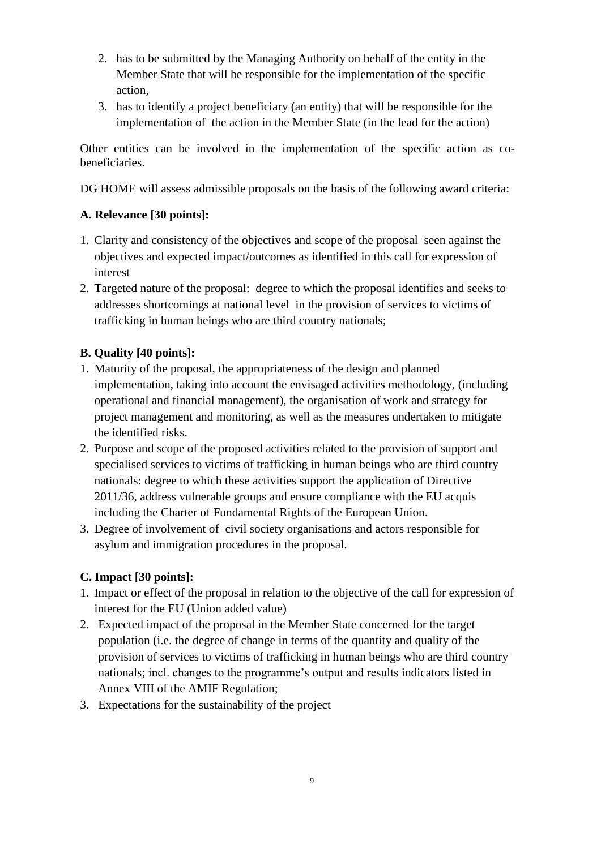- 2. has to be submitted by the Managing Authority on behalf of the entity in the Member State that will be responsible for the implementation of the specific action,
- 3. has to identify a project beneficiary (an entity) that will be responsible for the implementation of the action in the Member State (in the lead for the action)

Other entities can be involved in the implementation of the specific action as cobeneficiaries.

DG HOME will assess admissible proposals on the basis of the following award criteria:

# **A. Relevance [30 points]:**

- 1. Clarity and consistency of the objectives and scope of the proposal seen against the objectives and expected impact/outcomes as identified in this call for expression of interest
- 2. Targeted nature of the proposal: degree to which the proposal identifies and seeks to addresses shortcomings at national level in the provision of services to victims of trafficking in human beings who are third country nationals;

# **B. Quality [40 points]:**

- 1. Maturity of the proposal, the appropriateness of the design and planned implementation, taking into account the envisaged activities methodology, (including operational and financial management), the organisation of work and strategy for project management and monitoring, as well as the measures undertaken to mitigate the identified risks.
- 2. Purpose and scope of the proposed activities related to the provision of support and specialised services to victims of trafficking in human beings who are third country nationals: degree to which these activities support the application of Directive 2011/36, address vulnerable groups and ensure compliance with the EU acquis including the Charter of Fundamental Rights of the European Union.
- 3. Degree of involvement of civil society organisations and actors responsible for asylum and immigration procedures in the proposal.

# **C. Impact [30 points]:**

- 1. Impact or effect of the proposal in relation to the objective of the call for expression of interest for the EU (Union added value)
- 2. Expected impact of the proposal in the Member State concerned for the target population (i.e. the degree of change in terms of the quantity and quality of the provision of services to victims of trafficking in human beings who are third country nationals; incl. changes to the programme's output and results indicators listed in Annex VIII of the AMIF Regulation;
- 3. Expectations for the sustainability of the project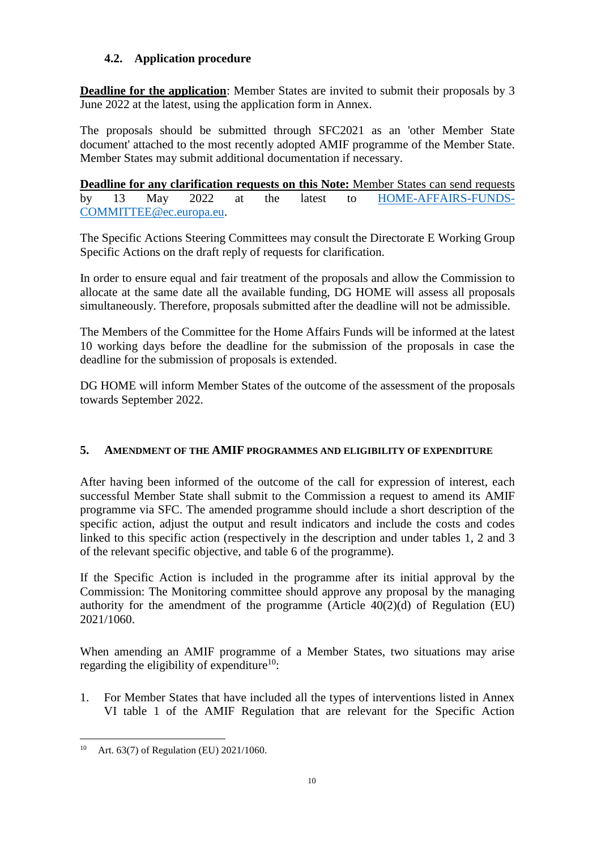# **4.2. Application procedure**

**Deadline for the application**: Member States are invited to submit their proposals by 3 June 2022 at the latest, using the application form in Annex.

The proposals should be submitted through SFC2021 as an 'other Member State document' attached to the most recently adopted AMIF programme of the Member State. Member States may submit additional documentation if necessary.

**Deadline for any clarification requests on this Note:** Member States can send requests by 13 May 2022 at the latest to [HOME-AFFAIRS-FUNDS-](mailto:HOME-AFFAIRS-FUNDS-COMMITTEE@ec.europa.eu)[COMMITTEE@ec.europa.eu.](mailto:HOME-AFFAIRS-FUNDS-COMMITTEE@ec.europa.eu)

The Specific Actions Steering Committees may consult the Directorate E Working Group Specific Actions on the draft reply of requests for clarification.

In order to ensure equal and fair treatment of the proposals and allow the Commission to allocate at the same date all the available funding, DG HOME will assess all proposals simultaneously. Therefore, proposals submitted after the deadline will not be admissible.

The Members of the Committee for the Home Affairs Funds will be informed at the latest 10 working days before the deadline for the submission of the proposals in case the deadline for the submission of proposals is extended.

DG HOME will inform Member States of the outcome of the assessment of the proposals towards September 2022.

# **5. AMENDMENT OF THE AMIF PROGRAMMES AND ELIGIBILITY OF EXPENDITURE**

After having been informed of the outcome of the call for expression of interest, each successful Member State shall submit to the Commission a request to amend its AMIF programme via SFC. The amended programme should include a short description of the specific action, adjust the output and result indicators and include the costs and codes linked to this specific action (respectively in the description and under tables 1, 2 and 3 of the relevant specific objective, and table 6 of the programme).

If the Specific Action is included in the programme after its initial approval by the Commission: The Monitoring committee should approve any proposal by the managing authority for the amendment of the programme (Article 40(2)(d) of Regulation (EU) 2021/1060.

When amending an AMIF programme of a Member States, two situations may arise regarding the eligibility of expenditure<sup>10</sup>:

1. For Member States that have included all the types of interventions listed in Annex VI table 1 of the AMIF Regulation that are relevant for the Specific Action

 $\overline{a}$ <sup>10</sup> Art. 63(7) of Regulation (EU) 2021/1060.